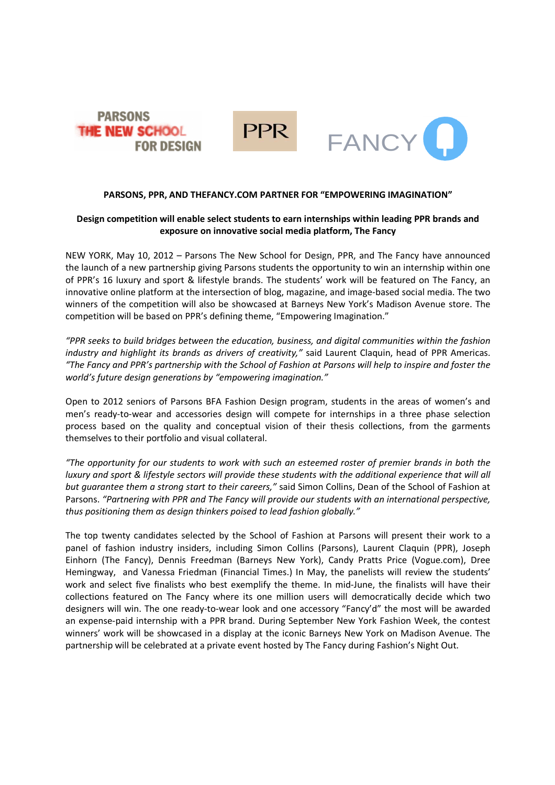



# **PARSONS, PPR, AND THEFANCY.COM PARTNER FOR "EMPOWERING IMAGINATION"**

# **Design competition will enable select students to earn internships within leading PPR brands and exposure on innovative social media platform, The Fancy**

NEW YORK, May 10, 2012 – Parsons The New School for Design, PPR, and The Fancy have announced the launch of a new partnership giving Parsons students the opportunity to win an internship within one of PPR's 16 luxury and sport & lifestyle brands. The students' work will be featured on The Fancy, an innovative online platform at the intersection of blog, magazine, and image-based social media. The two winners of the competition will also be showcased at Barneys New York's Madison Avenue store. The competition will be based on PPR's defining theme, "Empowering Imagination."

*"PPR seeks to build bridges between the education, business, and digital communities within the fashion industry and highlight its brands as drivers of creativity,"* said Laurent Claquin, head of PPR Americas. *"The Fancy and PPR's partnership with the School of Fashion at Parsons will help to inspire and foster the world's future design generations by "empowering imagination."*

Open to 2012 seniors of Parsons BFA Fashion Design program, students in the areas of women's and men's ready-to-wear and accessories design will compete for internships in a three phase selection process based on the quality and conceptual vision of their thesis collections, from the garments themselves to their portfolio and visual collateral.

*"The opportunity for our students to work with such an esteemed roster of premier brands in both the luxury and sport & lifestyle sectors will provide these students with the additional experience that will all but guarantee them a strong start to their careers,"* said Simon Collins, Dean of the School of Fashion at Parsons. *"Partnering with PPR and The Fancy will provide our students with an international perspective, thus positioning them as design thinkers poised to lead fashion globally."*

The top twenty candidates selected by the School of Fashion at Parsons will present their work to a panel of fashion industry insiders, including Simon Collins (Parsons), Laurent Claquin (PPR), Joseph Einhorn (The Fancy), Dennis Freedman (Barneys New York), Candy Pratts Price (Vogue.com), Dree Hemingway, and Vanessa Friedman (Financial Times.) In May, the panelists will review the students' work and select five finalists who best exemplify the theme. In mid-June, the finalists will have their collections featured on The Fancy where its one million users will democratically decide which two designers will win. The one ready-to-wear look and one accessory "Fancy'd" the most will be awarded an expense-paid internship with a PPR brand. During September New York Fashion Week, the contest winners' work will be showcased in a display at the iconic Barneys New York on Madison Avenue. The partnership will be celebrated at a private event hosted by The Fancy during Fashion's Night Out.